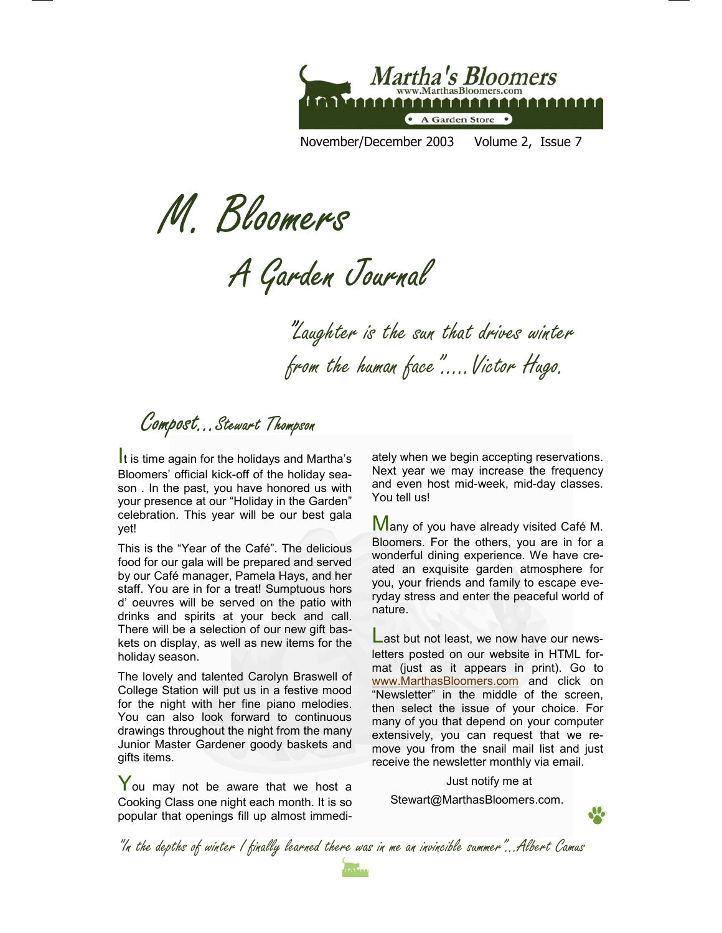

November/December 2003 Volume 2, Issue 7

M. Bloomers

A Garden Journal

"Laughter is the sun that drives winter from the human face"…..Victor Hugo.

Compost...Stewart Thompson

Bloomers' official kick-off of the holiday season . In the past, you have honored us with your presence at our "Holiday in the Garden" celebration. This year will be our best gala yet!

This is the "Year of the Café". The delicious food for our gala will be prepared and served by our Café manager, Pamela Hays, and her staff. You are in for a treat! Sumptuous hors d' oeuvres will be served on the patio with drinks and spirits at your beck and call. There will be a selection of our new gift baskets on display, as well as new items for the holiday season.

The lovely and talented Carolyn Braswell of College Station will put us in a festive mood for the night with her fine piano melodies. You can also look forward to continuous drawings throughout the night from the many Junior Master Gardener goody baskets and gifts items.

You may not be aware that we host a Cooking Class one night each month. It is so popular that openings fill up almost immedi-

It is time again for the holidays and Martha's ately when we begin accepting reservations. Next year we may increase the frequency and even host mid-week, mid-day classes. You tell us!

> **Many of you have already visited Café M.** Bloomers. For the others, you are in for a wonderful dining experience. We have created an exquisite garden atmosphere for you, your friends and family to escape everyday stress and enter the peaceful world of nature.

> Last but not least, we now have our newsletters posted on our website in HTML format (just as it appears in print). Go to www.MarthasBloomers.com and click on "Newsletter" in the middle of the screen, then select the issue of your choice. For many of you that depend on your computer extensively, you can request that we remove you from the snail mail list and just receive the newsletter monthly via email.

> > Just notify me at

Stewart@MarthasBloomers.com.



"In the depths of winter I finally learned there was in me an invincible summer"...Albert Camus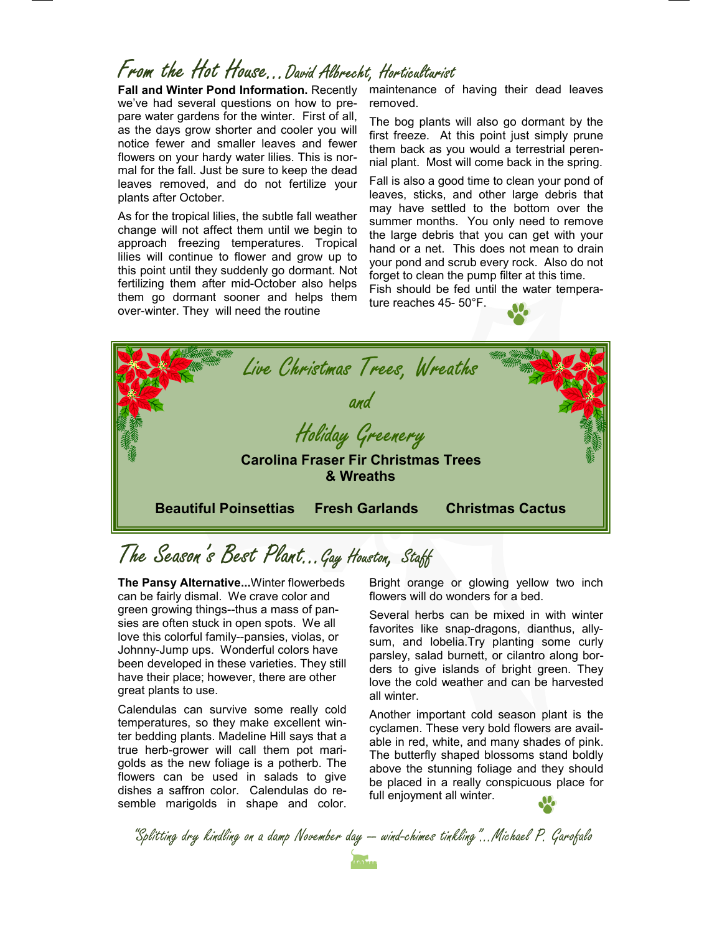## From the Hot House...David Albrecht, Horticulturist

**Fall and Winter Pond Information.** Recently we've had several questions on how to prepare water gardens for the winter. First of all, as the days grow shorter and cooler you will notice fewer and smaller leaves and fewer flowers on your hardy water lilies. This is normal for the fall. Just be sure to keep the dead leaves removed, and do not fertilize your plants after October.

As for the tropical lilies, the subtle fall weather change will not affect them until we begin to approach freezing temperatures. Tropical lilies will continue to flower and grow up to this point until they suddenly go dormant. Not fertilizing them after mid-October also helps them go dormant sooner and helps them over-winter. They will need the routine

maintenance of having their dead leaves removed.

The bog plants will also go dormant by the first freeze. At this point just simply prune them back as you would a terrestrial perennial plant. Most will come back in the spring.

Fall is also a good time to clean your pond of leaves, sticks, and other large debris that may have settled to the bottom over the summer months. You only need to remove the large debris that you can get with your hand or a net. This does not mean to drain your pond and scrub every rock. Also do not forget to clean the pump filter at this time.

Fish should be fed until the water temperature reaches 45- 50°F.



## The Season's Best Plant...Gay Houston, Staff

**The Pansy Alternative...**Winter flowerbeds can be fairly dismal. We crave color and green growing things--thus a mass of pansies are often stuck in open spots. We all love this colorful family--pansies, violas, or Johnny-Jump ups. Wonderful colors have been developed in these varieties. They still have their place; however, there are other great plants to use.

Calendulas can survive some really cold temperatures, so they make excellent winter bedding plants. Madeline Hill says that a true herb-grower will call them pot marigolds as the new foliage is a potherb. The flowers can be used in salads to give dishes a saffron color. Calendulas do resemble marigolds in shape and color.

Bright orange or glowing yellow two inch flowers will do wonders for a bed.

Several herbs can be mixed in with winter favorites like snap-dragons, dianthus, allysum, and lobelia.Try planting some curly parsley, salad burnett, or cilantro along borders to give islands of bright green. They love the cold weather and can be harvested all winter.

Another important cold season plant is the cyclamen. These very bold flowers are available in red, white, and many shades of pink. The butterfly shaped blossoms stand boldly above the stunning foliage and they should be placed in a really conspicuous place for full enjoyment all winter.

"Splitting dry kindling on a damp November day -- wind-chimes tinkling"...Michael P. Garofalo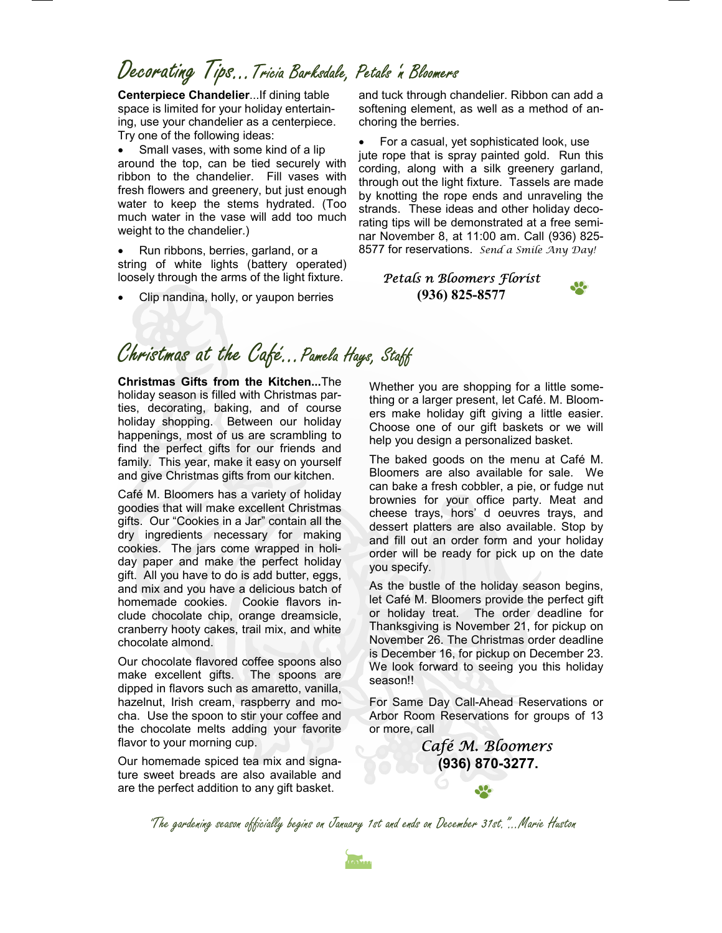## Decorating Tips…Tricia Barksdale, Petals 'n Bloomers

**Centerpiece Chandelier**...If dining table space is limited for your holiday entertaining, use your chandelier as a centerpiece. Try one of the following ideas:

• Small vases, with some kind of a lip around the top, can be tied securely with ribbon to the chandelier. Fill vases with fresh flowers and greenery, but just enough water to keep the stems hydrated. (Too much water in the vase will add too much weight to the chandelier.)

• Run ribbons, berries, garland, or a string of white lights (battery operated) loosely through the arms of the light fixture.

• Clip nandina, holly, or yaupon berries

and tuck through chandelier. Ribbon can add a softening element, as well as a method of anchoring the berries.

• For a casual, yet sophisticated look, use jute rope that is spray painted gold. Run this cording, along with a silk greenery garland, through out the light fixture. Tassels are made by knotting the rope ends and unraveling the strands. These ideas and other holiday decorating tips will be demonstrated at a free seminar November 8, at 11:00 am. Call (936) 825- 8577 for reservations. *Send a Smile Any Day!* 

### *Petals n Bloomers Florist*  **(936) 825-8577**



### Christmas at the Café... Pamela Hays, Staff

**Christmas Gifts from the Kitchen...**The holiday season is filled with Christmas parties, decorating, baking, and of course holiday shopping. Between our holiday happenings, most of us are scrambling to find the perfect gifts for our friends and family. This year, make it easy on yourself and give Christmas gifts from our kitchen.

Café M. Bloomers has a variety of holiday goodies that will make excellent Christmas gifts. Our "Cookies in a Jar" contain all the dry ingredients necessary for making cookies. The jars come wrapped in holiday paper and make the perfect holiday gift. All you have to do is add butter, eggs, and mix and you have a delicious batch of homemade cookies. Cookie flavors include chocolate chip, orange dreamsicle, cranberry hooty cakes, trail mix, and white chocolate almond.

Our chocolate flavored coffee spoons also make excellent gifts. The spoons are dipped in flavors such as amaretto, vanilla, hazelnut, Irish cream, raspberry and mocha. Use the spoon to stir your coffee and the chocolate melts adding your favorite flavor to your morning cup.

Our homemade spiced tea mix and signature sweet breads are also available and are the perfect addition to any gift basket.

Whether you are shopping for a little something or a larger present, let Café. M. Bloomers make holiday gift giving a little easier. Choose one of our gift baskets or we will help you design a personalized basket.

The baked goods on the menu at Café M. Bloomers are also available for sale. We can bake a fresh cobbler, a pie, or fudge nut brownies for your office party. Meat and cheese trays, hors' d oeuvres trays, and dessert platters are also available. Stop by and fill out an order form and your holiday order will be ready for pick up on the date you specify.

As the bustle of the holiday season begins, let Café M. Bloomers provide the perfect gift or holiday treat. The order deadline for Thanksgiving is November 21, for pickup on November 26. The Christmas order deadline is December 16, for pickup on December 23. We look forward to seeing you this holiday season!!

For Same Day Call-Ahead Reservations or Arbor Room Reservations for groups of 13 or more, call

> *Café M. Bloomers*  **(936) 870-3277.**

"The gardening season officially begins on January 1st and ends on December 31st."...Marie Huston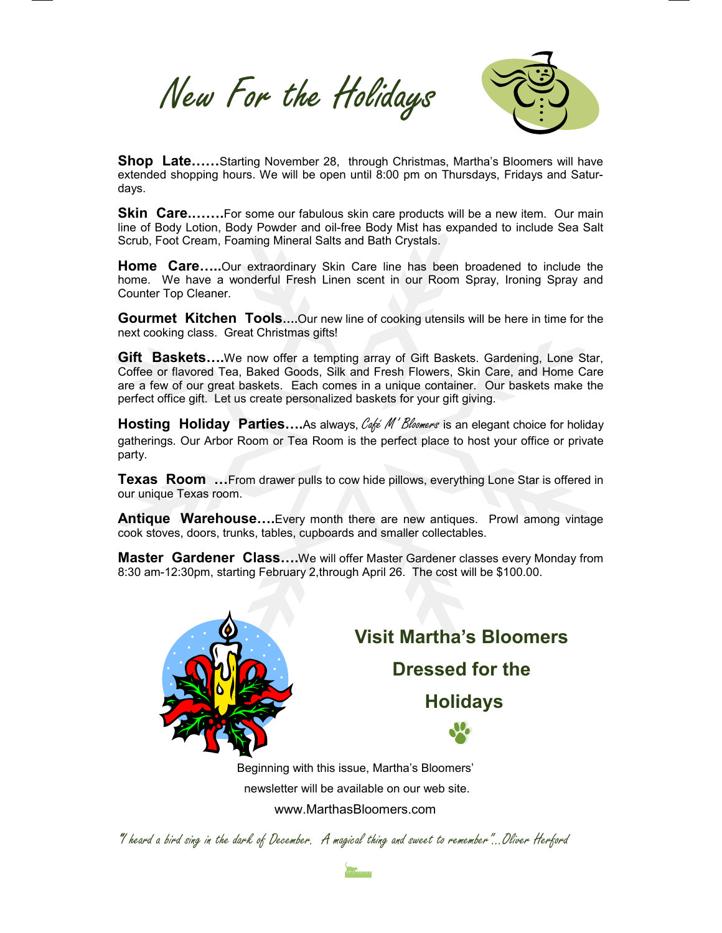New For the Holidays



**Shop Late......**Starting November 28, through Christmas, Martha's Bloomers will have extended shopping hours. We will be open until 8:00 pm on Thursdays, Fridays and Saturdays.

**Skin Care.......**For some our fabulous skin care products will be a new item. Our main line of Body Lotion, Body Powder and oil-free Body Mist has expanded to include Sea Salt Scrub, Foot Cream, Foaming Mineral Salts and Bath Crystals.

**Home Care…..**Our extraordinary Skin Care line has been broadened to include the home. We have a wonderful Fresh Linen scent in our Room Spray, Ironing Spray and Counter Top Cleaner.

**Gourmet Kitchen Tools….**Our new line of cooking utensils will be here in time for the next cooking class. Great Christmas gifts!

**Gift Baskets….**We now offer a tempting array of Gift Baskets. Gardening, Lone Star, Coffee or flavored Tea, Baked Goods, Silk and Fresh Flowers, Skin Care, and Home Care are a few of our great baskets. Each comes in a unique container. Our baskets make the perfect office gift. Let us create personalized baskets for your gift giving.

**Hosting Holiday Parties....**As always, Café M' Bloomers is an elegant choice for holiday gatherings. Our Arbor Room or Tea Room is the perfect place to host your office or private party.

**Texas Room …**From drawer pulls to cow hide pillows, everything Lone Star is offered in our unique Texas room.

**Antique Warehouse….**Every month there are new antiques. Prowl among vintage cook stoves, doors, trunks, tables, cupboards and smaller collectables.

**Master Gardener Class….**We will offer Master Gardener classes every Monday from 8:30 am-12:30pm, starting February 2,through April 26. The cost will be \$100.00.



**Visit Martha's Bloomers Dressed for the Holidays** 

Beginning with this issue, Martha's Bloomers' newsletter will be available on our web site. www.MarthasBloomers.com

"I heard a bird sing in the dark of December. A magical thing and sweet to remember"...Oliver Herford

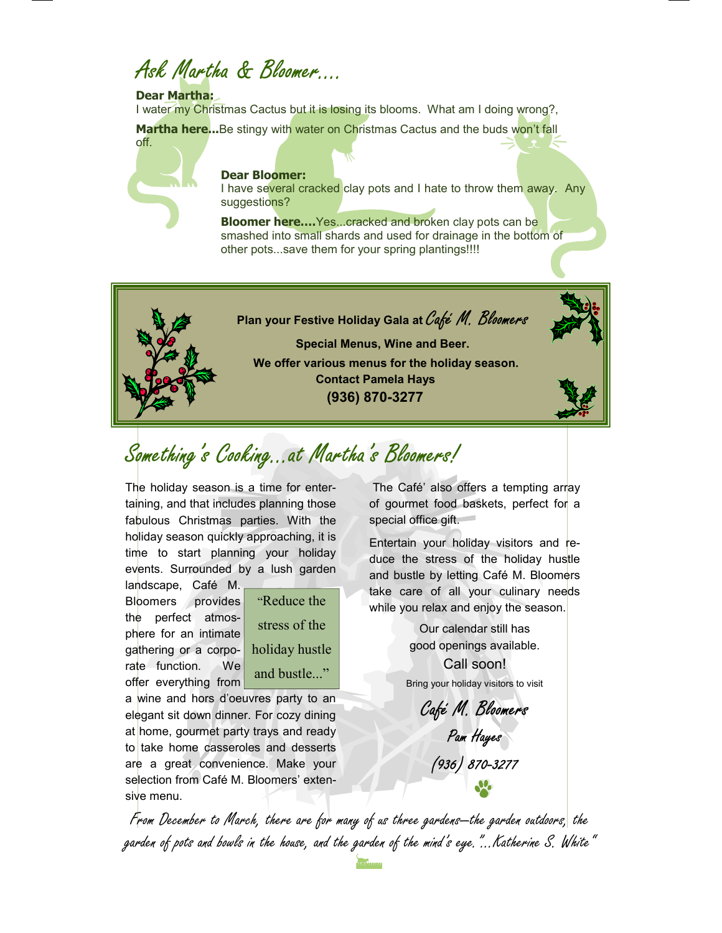# Ask Martha & Bloomer

#### **Dear Martha:**

I water my Christmas Cactus but it is losing its blooms. What am I doing wrong?,

Martha here...Be stingy with water on Christmas Cactus and the buds won't fall



**Dear Bloomer:**  I have several cracked clay pots and I hate to throw them away. Any suggestions?

**Bloomer here....** Yes...cracked and broken clay pots can be smashed into small shards and used for drainage in the bottom of other pots...save them for your spring plantings!!!!



## Something's Cooking...at Martha's Bloomers!

The holiday season is a time for entertaining, and that includes planning those fabulous Christmas parties. With the holiday season quickly approaching, it is time to start planning your holiday events. Surrounded by a lush garden

landscape, Café M. Bloomers provides the perfect atmosphere for an intimate gathering or a corporate function. We offer everything from



a wine and hors d'oeuvres party to an elegant sit down dinner. For cozy dining at home, gourmet party trays and ready to take home casseroles and desserts are a great convenience. Make your selection from Café M. Bloomers' extensive menu.

 The Café' also offers a tempting array of gourmet food baskets, perfect for a special office gift.

Entertain your holiday visitors and reduce the stress of the holiday hustle and bustle by letting Café M. Bloomers take care of all your culinary needs while you relax and enjoy the season.

> Our calendar still has good openings available. Call soon! Bring your holiday visitors to visit

Café M. Bloomers Pam Hayes (936) 870-3277

From December to March, there are for many of us three gardens—the garden outdoors, the garden of pots and bowls in the house, and the garden of the mind's eye."...Katherine S. White"